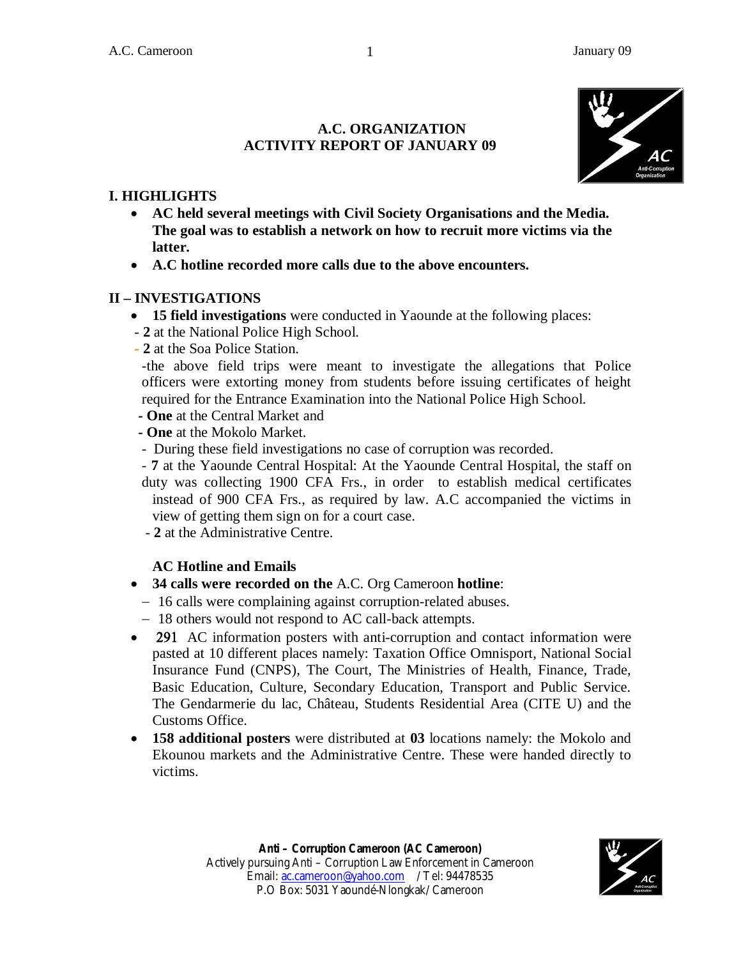## **A.C. ORGANIZATION ACTIVITY REPORT OF JANUARY 09**



## **I. HIGHLIGHTS**

- **AC held several meetings with Civil Society Organisations and the Media. The goal was to establish a network on how to recruit more victims via the latter.**
- **A.C hotline recorded more calls due to the above encounters.**

#### **II – INVESTIGATIONS**

- **15 field investigations** were conducted in Yaounde at the following places:
- **2** at the National Police High School.
- **2** at the Soa Police Station.

-the above field trips were meant to investigate the allegations that Police officers were extorting money from students before issuing certificates of height required for the Entrance Examination into the National Police High School.

- **- One** at the Central Market and
- **- One** at the Mokolo Market.
- During these field investigations no case of corruption was recorded.
- **7** at the Yaounde Central Hospital: At the Yaounde Central Hospital, the staff on duty was collecting 1900 CFA Frs., in order to establish medical certificates instead of 900 CFA Frs., as required by law. A.C accompanied the victims in view of getting them sign on for a court case.
- **2** at the Administrative Centre.

## **AC Hotline and Emails**

- **34 calls were recorded on the** A.C. Org Cameroon **hotline**:
	- 16 calls were complaining against corruption-related abuses.
	- 18 others would not respond to AC call-back attempts.
- 291 AC information posters with anti-corruption and contact information were pasted at 10 different places namely: Taxation Office Omnisport, National Social Insurance Fund (CNPS), The Court, The Ministries of Health, Finance, Trade, Basic Education, Culture, Secondary Education, Transport and Public Service. The Gendarmerie du lac, Château, Students Residential Area (CITE U) and the Customs Office.
- **158 additional posters** were distributed at **03** locations namely: the Mokolo and Ekounou markets and the Administrative Centre. These were handed directly to victims.

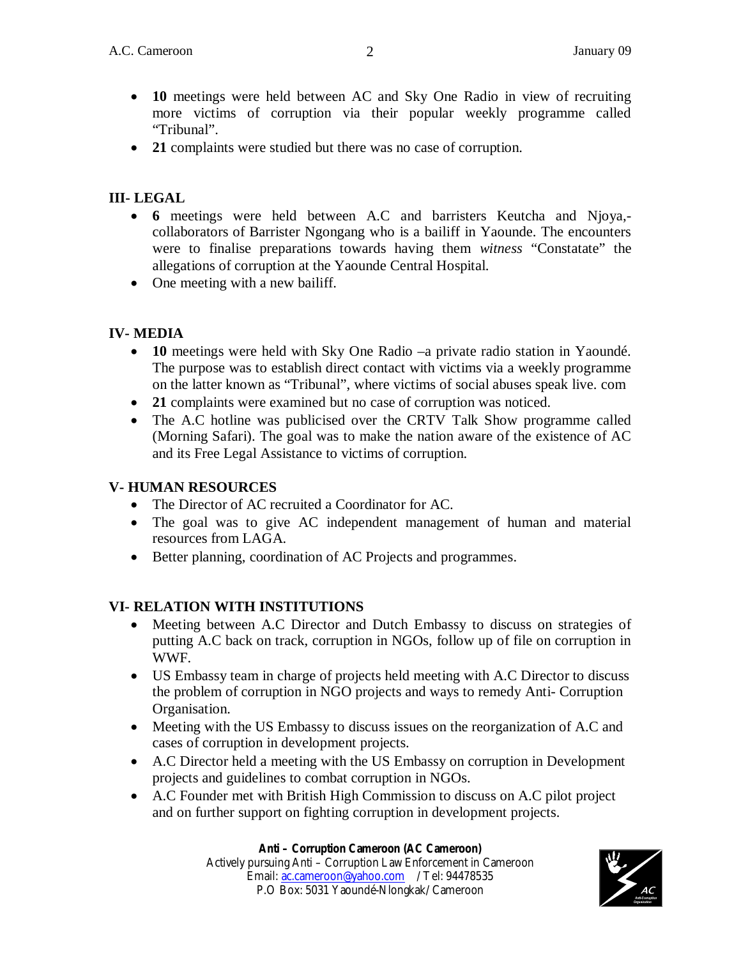- **10** meetings were held between AC and Sky One Radio in view of recruiting more victims of corruption via their popular weekly programme called "Tribunal".
- **21** complaints were studied but there was no case of corruption.

# **III- LEGAL**

- **6** meetings were held between A.C and barristers Keutcha and Njoya, collaborators of Barrister Ngongang who is a bailiff in Yaounde. The encounters were to finalise preparations towards having them *witness* "Constatate" the allegations of corruption at the Yaounde Central Hospital.
- One meeting with a new bailiff.

# **IV- MEDIA**

- **10** meetings were held with Sky One Radio –a private radio station in Yaoundé. The purpose was to establish direct contact with victims via a weekly programme on the latter known as "Tribunal", where victims of social abuses speak live. com
- 21 complaints were examined but no case of corruption was noticed.
- The A.C hotline was publicised over the CRTV Talk Show programme called (Morning Safari). The goal was to make the nation aware of the existence of AC and its Free Legal Assistance to victims of corruption.

## **V- HUMAN RESOURCES**

- The Director of AC recruited a Coordinator for AC.
- The goal was to give AC independent management of human and material resources from LAGA.
- Better planning, coordination of AC Projects and programmes.

# **VI- RELATION WITH INSTITUTIONS**

- Meeting between A.C Director and Dutch Embassy to discuss on strategies of putting A.C back on track, corruption in NGOs, follow up of file on corruption in WWF.
- US Embassy team in charge of projects held meeting with A.C Director to discuss the problem of corruption in NGO projects and ways to remedy Anti- Corruption Organisation.
- Meeting with the US Embassy to discuss issues on the reorganization of A.C and cases of corruption in development projects.
- A.C Director held a meeting with the US Embassy on corruption in Development projects and guidelines to combat corruption in NGOs.
- A.C Founder met with British High Commission to discuss on A.C pilot project and on further support on fighting corruption in development projects.

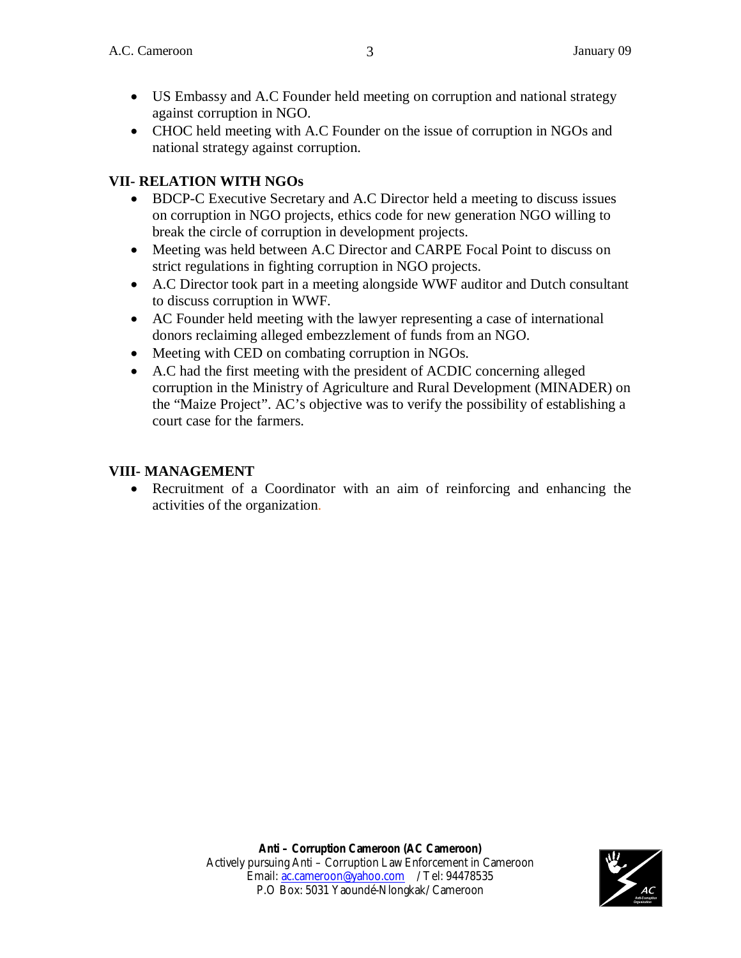- US Embassy and A.C Founder held meeting on corruption and national strategy against corruption in NGO.
- CHOC held meeting with A.C Founder on the issue of corruption in NGOs and national strategy against corruption.

### **VII- RELATION WITH NGOs**

- BDCP-C Executive Secretary and A.C Director held a meeting to discuss issues on corruption in NGO projects, ethics code for new generation NGO willing to break the circle of corruption in development projects.
- Meeting was held between A.C Director and CARPE Focal Point to discuss on strict regulations in fighting corruption in NGO projects.
- A.C Director took part in a meeting alongside WWF auditor and Dutch consultant to discuss corruption in WWF.
- AC Founder held meeting with the lawyer representing a case of international donors reclaiming alleged embezzlement of funds from an NGO.
- Meeting with CED on combating corruption in NGOs.
- A.C had the first meeting with the president of ACDIC concerning alleged corruption in the Ministry of Agriculture and Rural Development (MINADER) on the "Maize Project". AC's objective was to verify the possibility of establishing a court case for the farmers.

#### **VIII- MANAGEMENT**

 Recruitment of a Coordinator with an aim of reinforcing and enhancing the activities of the organization.